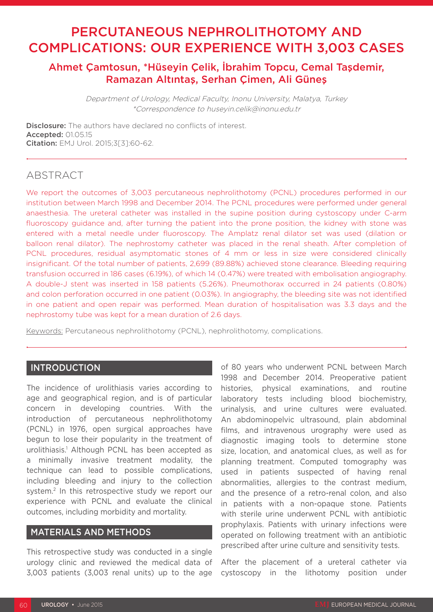# PERCUTANEOUS NEPHROLITHOTOMY AND COMPLICATIONS: OUR EXPERIENCE WITH 3,003 CASES

## Ahmet Çamtosun, \*Hüseyin Çelik, İbrahim Topcu, Cemal Taşdemir, Ramazan Altıntaş, Serhan Çimen, Ali Güneş

Department of Urology, Medical Faculty, Inonu University, Malatya, Turkey \*Correspondence to huseyin.celik@inonu.edu.tr

**Disclosure:** The authors have declared no conflicts of interest. Accepted: 01.05.15 Citation: EMJ Urol. 2015;3[3]:60-62.

# **ABSTRACT**

We report the outcomes of 3,003 percutaneous nephrolithotomy (PCNL) procedures performed in our institution between March 1998 and December 2014. The PCNL procedures were performed under general anaesthesia. The ureteral catheter was installed in the supine position during cystoscopy under C-arm fluoroscopy guidance and, after turning the patient into the prone position, the kidney with stone was entered with a metal needle under fluoroscopy. The Amplatz renal dilator set was used (dilation or balloon renal dilator). The nephrostomy catheter was placed in the renal sheath. After completion of PCNL procedures, residual asymptomatic stones of 4 mm or less in size were considered clinically insignificant. Of the total number of patients, 2,699 (89.88%) achieved stone clearance. Bleeding requiring transfusion occurred in 186 cases (6.19%), of which 14 (0.47%) were treated with embolisation angiography. A double-J stent was inserted in 158 patients (5.26%). Pneumothorax occurred in 24 patients (0.80%) and colon perforation occurred in one patient (0.03%). In angiography, the bleeding site was not identified in one patient and open repair was performed. Mean duration of hospitalisation was 3.3 days and the nephrostomy tube was kept for a mean duration of 2.6 days.

Keywords: Percutaneous nephrolithotomy (PCNL), nephrolithotomy, complications.

## INTRODUCTION

The incidence of urolithiasis varies according to age and geographical region, and is of particular concern in developing countries. With the introduction of percutaneous nephrolithotomy (PCNL) in 1976, open surgical approaches have begun to lose their popularity in the treatment of urolithiasis.1 Although PCNL has been accepted as a minimally invasive treatment modality, the technique can lead to possible complications, including bleeding and injury to the collection system.2 In this retrospective study we report our experience with PCNL and evaluate the clinical outcomes, including morbidity and mortality.

### MATERIALS AND METHODS

This retrospective study was conducted in a single urology clinic and reviewed the medical data of 3,003 patients (3,003 renal units) up to the age

of 80 years who underwent PCNL between March 1998 and December 2014. Preoperative patient histories, physical examinations, and routine laboratory tests including blood biochemistry, urinalysis, and urine cultures were evaluated. An abdominopelvic ultrasound, plain abdominal films, and intravenous urography were used as diagnostic imaging tools to determine stone size, location, and anatomical clues, as well as for planning treatment. Computed tomography was used in patients suspected of having renal abnormalities, allergies to the contrast medium, and the presence of a retro-renal colon, and also in patients with a non-opaque stone. Patients with sterile urine underwent PCNL with antibiotic prophylaxis. Patients with urinary infections were operated on following treatment with an antibiotic prescribed after urine culture and sensitivity tests.

After the placement of a ureteral catheter via cystoscopy in the lithotomy position under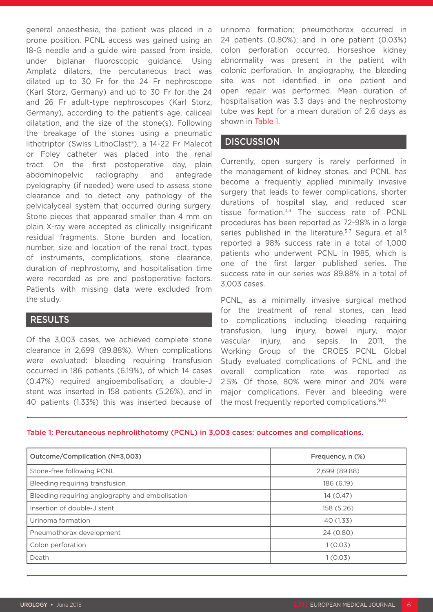general anaesthesia, the patient was placed in a prone position. PCNL access was gained using an 18-G needle and a guide wire passed from inside, under biplanar fluoroscopic guidance. Using Amplatz dilators, the percutaneous tract was dilated up to 30 Fr for the 24 Fr nephroscope (Karl Storz, Germany) and up to 30 Fr for the 24 and 26 Fr adult-type nephroscopes (Karl Storz, Germany), according to the patient's age, caliceal dilatation, and the size of the stone(s). Following the breakage of the stones using a pneumatic lithotriptor (Swiss LithoClast®), a 14-22 Fr Malecot or Foley catheter was placed into the renal tract. On the first postoperative day, plain abdominopelvic radiography and antegrade pyelography (if needed) were used to assess stone clearance and to detect any pathology of the pelvicalyceal system that occurred during surgery. Stone pieces that appeared smaller than 4 mm on plain X-ray were accepted as clinically insignificant residual fragments. Stone burden and location, number, size and location of the renal tract, types of instruments, complications, stone clearance, duration of nephrostomy, and hospitalisation time were recorded as pre and postoperative factors. Patients with missing data were excluded from the study.

## RESULTS

Of the 3,003 cases, we achieved complete stone clearance in 2,699 (89.88%). When complications were evaluated: bleeding requiring transfusion occurred in 186 patients (6.19%), of which 14 cases (0.47%) required angioembolisation; a double-J stent was inserted in 158 patients (5.26%), and in 40 patients (1.33%) this was inserted because of urinoma formation; pneumothorax occurred in 24 patients (0.80%); and in one patient (0.03%) colon perforation occurred. Horseshoe kidney abnormality was present in the patient with colonic perforation. In angiography, the bleeding site was not identified in one patient and open repair was performed. Mean duration of hospitalisation was 3.3 days and the nephrostomy tube was kept for a mean duration of 2.6 days as shown in Table 1.

### **DISCUSSION**

Currently, open surgery is rarely performed in the management of kidney stones, and PCNL has become a frequently applied minimally invasive surgery that leads to fewer complications, shorter durations of hospital stay, and reduced scar tissue formation.3,4 The success rate of PCNL procedures has been reported as 72-98% in a large series published in the literature.<sup>5-7</sup> Segura et al.<sup>8</sup> reported a 98% success rate in a total of 1,000 patients who underwent PCNL in 1985, which is one of the first larger published series. The success rate in our series was 89.88% in a total of 3,003 cases.

PCNL, as a minimally invasive surgical method for the treatment of renal stones, can lead to complications including bleeding requiring transfusion, lung injury, bowel injury, major vascular injury, and sepsis. In 2011, the Working Group of the CROES PCNL Global Study evaluated complications of PCNL and the overall complication rate was reported as 2.5%. Of those, 80% were minor and 20% were major complications. Fever and bleeding were the most frequently reported complications.9,10

#### Table 1: Percutaneous nephrolithotomy (PCNL) in 3,003 cases: outcomes and complications.

| Outcome/Complication (N=3,003)                  | Frequency, n (%) |
|-------------------------------------------------|------------------|
| Stone-free following PCNL                       | 2,699 (89.88)    |
| Bleeding requiring transfusion                  | 186 (6.19)       |
| Bleeding requiring angiography and embolisation | 14(0.47)         |
| Insertion of double-J stent                     | 158 (5.26)       |
| Urinoma formation                               | 40 (1.33)        |
| Pneumothorax development                        | 24 (0.80)        |
| Colon perforation                               | 1(0.03)          |
| Death                                           | 1(0.03)          |